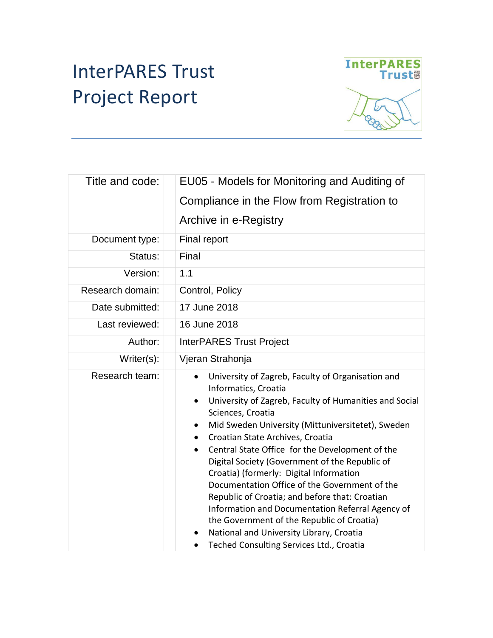# InterPARES Trust Project Report



| Title and code:  | EU05 - Models for Monitoring and Auditing of                                                                                                                                                                                                                                                                                                                                                                                                                                                                                                                                                                                                                                                                                                    |  |  |
|------------------|-------------------------------------------------------------------------------------------------------------------------------------------------------------------------------------------------------------------------------------------------------------------------------------------------------------------------------------------------------------------------------------------------------------------------------------------------------------------------------------------------------------------------------------------------------------------------------------------------------------------------------------------------------------------------------------------------------------------------------------------------|--|--|
|                  | Compliance in the Flow from Registration to                                                                                                                                                                                                                                                                                                                                                                                                                                                                                                                                                                                                                                                                                                     |  |  |
|                  | Archive in e-Registry                                                                                                                                                                                                                                                                                                                                                                                                                                                                                                                                                                                                                                                                                                                           |  |  |
| Document type:   | Final report                                                                                                                                                                                                                                                                                                                                                                                                                                                                                                                                                                                                                                                                                                                                    |  |  |
| Status:          | Final                                                                                                                                                                                                                                                                                                                                                                                                                                                                                                                                                                                                                                                                                                                                           |  |  |
| Version:         | 1.1                                                                                                                                                                                                                                                                                                                                                                                                                                                                                                                                                                                                                                                                                                                                             |  |  |
| Research domain: | Control, Policy                                                                                                                                                                                                                                                                                                                                                                                                                                                                                                                                                                                                                                                                                                                                 |  |  |
| Date submitted:  | 17 June 2018                                                                                                                                                                                                                                                                                                                                                                                                                                                                                                                                                                                                                                                                                                                                    |  |  |
| Last reviewed:   | 16 June 2018                                                                                                                                                                                                                                                                                                                                                                                                                                                                                                                                                                                                                                                                                                                                    |  |  |
| Author:          | <b>InterPARES Trust Project</b>                                                                                                                                                                                                                                                                                                                                                                                                                                                                                                                                                                                                                                                                                                                 |  |  |
| Writer(s):       | Vjeran Strahonja                                                                                                                                                                                                                                                                                                                                                                                                                                                                                                                                                                                                                                                                                                                                |  |  |
| Research team:   | University of Zagreb, Faculty of Organisation and<br>$\bullet$<br>Informatics, Croatia<br>University of Zagreb, Faculty of Humanities and Social<br>٠<br>Sciences, Croatia<br>Mid Sweden University (Mittuniversitetet), Sweden<br>٠<br>Croatian State Archives, Croatia<br>$\bullet$<br>Central State Office for the Development of the<br>$\bullet$<br>Digital Society (Government of the Republic of<br>Croatia) (formerly: Digital Information<br>Documentation Office of the Government of the<br>Republic of Croatia; and before that: Croatian<br>Information and Documentation Referral Agency of<br>the Government of the Republic of Croatia)<br>National and University Library, Croatia<br>Teched Consulting Services Ltd., Croatia |  |  |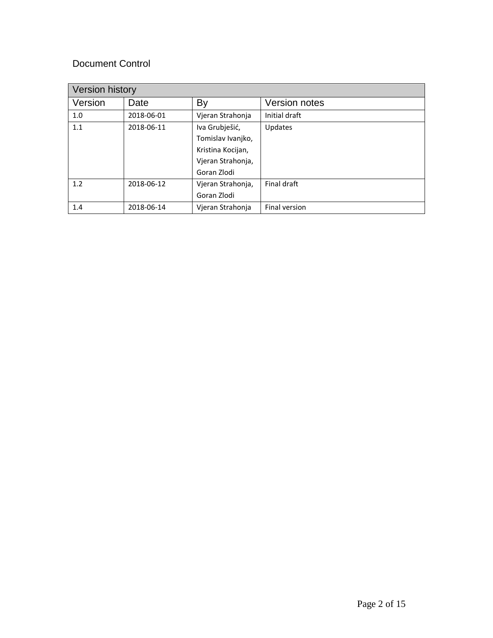#### Document Control

| Version history |            |                   |               |  |  |
|-----------------|------------|-------------------|---------------|--|--|
| Version         | Date       | By                | Version notes |  |  |
| 1.0             | 2018-06-01 | Vjeran Strahonja  | Initial draft |  |  |
| 1.1             | 2018-06-11 | Iva Grubješić,    | Updates       |  |  |
|                 |            | Tomislav Ivanjko, |               |  |  |
|                 |            | Kristina Kocijan, |               |  |  |
|                 |            | Vjeran Strahonja, |               |  |  |
|                 |            | Goran Zlodi       |               |  |  |
| 1.2             | 2018-06-12 | Vjeran Strahonja, | Final draft   |  |  |
|                 |            | Goran Zlodi       |               |  |  |
| 1.4             | 2018-06-14 | Vjeran Strahonja  | Final version |  |  |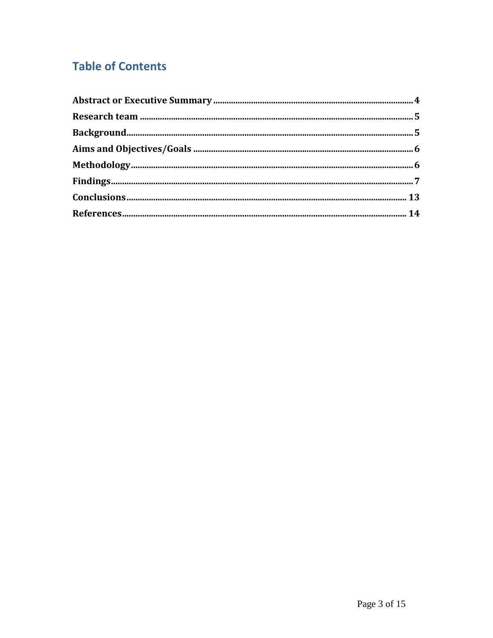## **Table of Contents**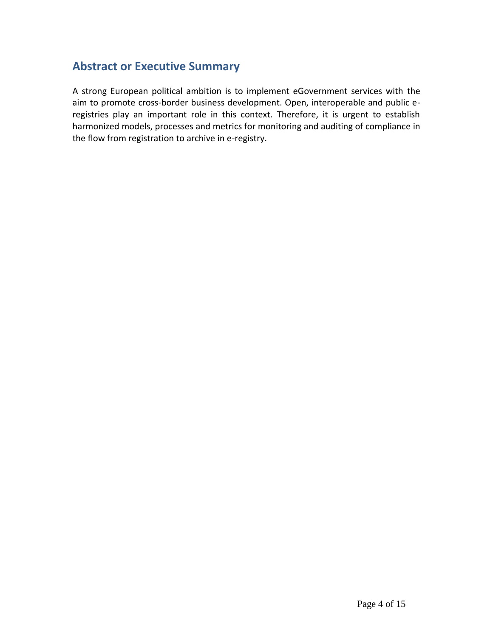#### **Abstract or Executive Summary**

A strong European political ambition is to implement eGovernment services with the aim to promote cross-border business development. Open, interoperable and public eregistries play an important role in this context. Therefore, it is urgent to establish harmonized models, processes and metrics for monitoring and auditing of compliance in the flow from registration to archive in e-registry.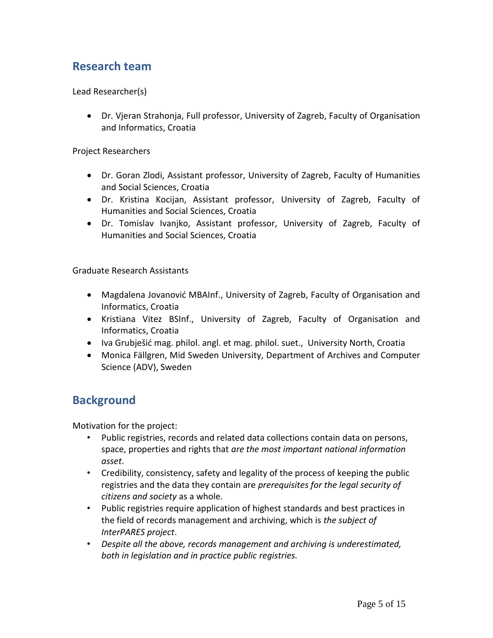#### **Research team**

Lead Researcher(s)

 Dr. Vjeran Strahonja, Full professor, University of Zagreb, Faculty of Organisation and Informatics, Croatia

Project Researchers

- Dr. Goran Zlodi, Assistant professor, University of Zagreb, Faculty of Humanities and Social Sciences, Croatia
- Dr. Kristina Kocijan, Assistant professor, University of Zagreb, Faculty of Humanities and Social Sciences, Croatia
- Dr. Tomislav Ivanjko, Assistant professor, University of Zagreb, Faculty of Humanities and Social Sciences, Croatia

Graduate Research Assistants

- Magdalena Jovanović MBAInf., University of Zagreb, Faculty of Organisation and Informatics, Croatia
- Kristiana Vitez BSInf., University of Zagreb, Faculty of Organisation and Informatics, Croatia
- Iva Grubješić mag. philol. angl. et mag. philol. suet., University North, Croatia
- Monica Fällgren, Mid Sweden University, Department of Archives and Computer Science (ADV), Sweden

#### **Background**

Motivation for the project:

- Public registries, records and related data collections contain data on persons, space, properties and rights that *are the most important national information asset*.
- Credibility, consistency, safety and legality of the process of keeping the public registries and the data they contain are *prerequisites for the legal security of citizens and society* as a whole.
- Public registries require application of highest standards and best practices in the field of records management and archiving, which is *the subject of InterPARES project*.
- *Despite all the above, records management and archiving is underestimated, both in legislation and in practice public registries.*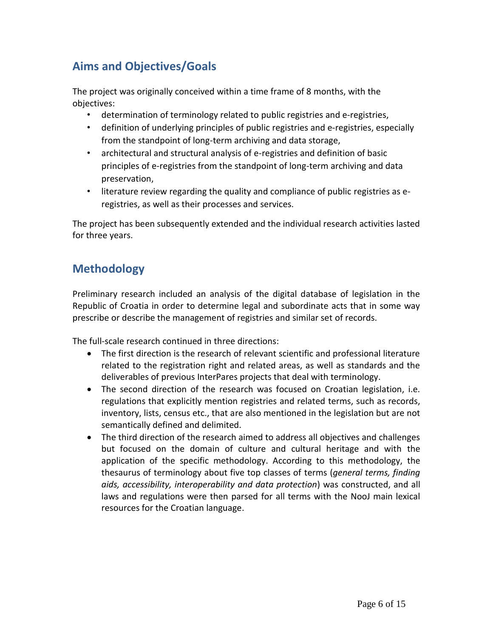## **Aims and Objectives/Goals**

The project was originally conceived within a time frame of 8 months, with the objectives:

- determination of terminology related to public registries and e-registries,
- definition of underlying principles of public registries and e-registries, especially from the standpoint of long-term archiving and data storage,
- architectural and structural analysis of e-registries and definition of basic principles of e-registries from the standpoint of long-term archiving and data preservation,
- literature review regarding the quality and compliance of public registries as eregistries, as well as their processes and services.

The project has been subsequently extended and the individual research activities lasted for three years.

#### **Methodology**

Preliminary research included an analysis of the digital database of legislation in the Republic of Croatia in order to determine legal and subordinate acts that in some way prescribe or describe the management of registries and similar set of records.

The full-scale research continued in three directions:

- The first direction is the research of relevant scientific and professional literature related to the registration right and related areas, as well as standards and the deliverables of previous InterPares projects that deal with terminology.
- The second direction of the research was focused on Croatian legislation, i.e. regulations that explicitly mention registries and related terms, such as records, inventory, lists, census etc., that are also mentioned in the legislation but are not semantically defined and delimited.
- The third direction of the research aimed to address all objectives and challenges but focused on the domain of culture and cultural heritage and with the application of the specific methodology. According to this methodology, the thesaurus of terminology about five top classes of terms (*general terms, finding aids, accessibility, interoperability and data protection*) was constructed, and all laws and regulations were then parsed for all terms with the NooJ main lexical resources for the Croatian language.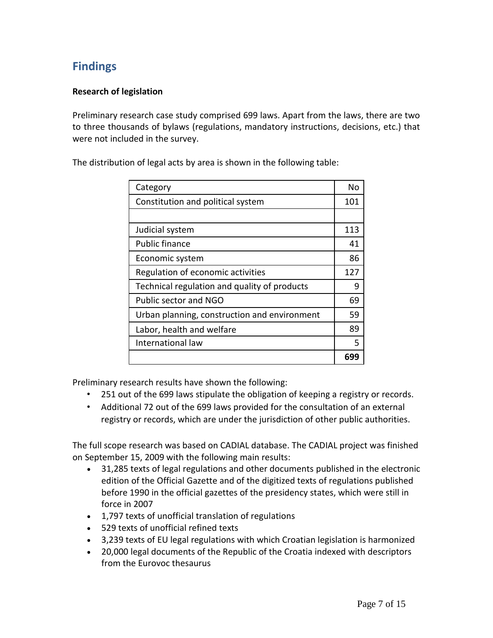### **Findings**

#### **Research of legislation**

Preliminary research case study comprised 699 laws. Apart from the laws, there are two to three thousands of bylaws (regulations, mandatory instructions, decisions, etc.) that were not included in the survey.

The distribution of legal acts by area is shown in the following table:

| Category                                     |     |
|----------------------------------------------|-----|
| Constitution and political system            |     |
|                                              |     |
| Judicial system                              |     |
| <b>Public finance</b>                        |     |
| Economic system                              |     |
| Regulation of economic activities            |     |
| Technical regulation and quality of products |     |
| Public sector and NGO                        |     |
| Urban planning, construction and environment |     |
| Labor, health and welfare                    |     |
| International law                            |     |
|                                              | 699 |

Preliminary research results have shown the following:

- 251 out of the 699 laws stipulate the obligation of keeping a registry or records.
- Additional 72 out of the 699 laws provided for the consultation of an external registry or records, which are under the jurisdiction of other public authorities.

The full scope research was based on CADIAL database. The CADIAL project was finished on September 15, 2009 with the following main results:

- 31,285 texts of legal regulations and other documents published in the electronic edition of the Official Gazette and of the digitized texts of regulations published before 1990 in the official gazettes of the presidency states, which were still in force in 2007
- 1,797 texts of unofficial translation of regulations
- 529 texts of unofficial refined texts
- 3,239 texts of EU legal regulations with which Croatian legislation is harmonized
- 20,000 legal documents of the Republic of the Croatia indexed with descriptors from the Eurovoc thesaurus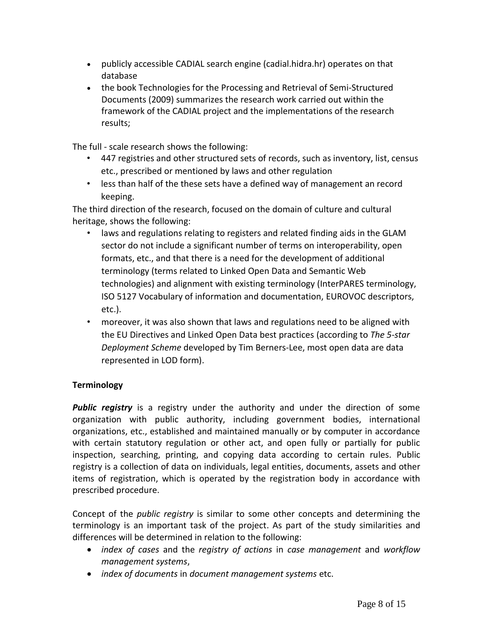- publicly accessible CADIAL search engine (cadial.hidra.hr) operates on that database
- the book Technologies for the Processing and Retrieval of Semi-Structured Documents (2009) summarizes the research work carried out within the framework of the CADIAL project and the implementations of the research results;

The full - scale research shows the following:

- 447 registries and other structured sets of records, such as inventory, list, census etc., prescribed or mentioned by laws and other regulation
- less than half of the these sets have a defined way of management an record keeping.

The third direction of the research, focused on the domain of culture and cultural heritage, shows the following:

- laws and regulations relating to registers and related finding aids in the GLAM sector do not include a significant number of terms on interoperability, open formats, etc., and that there is a need for the development of additional terminology (terms related to Linked Open Data and Semantic Web technologies) and alignment with existing terminology (InterPARES terminology, ISO 5127 Vocabulary of information and documentation, EUROVOC descriptors, etc.).
- moreover, it was also shown that laws and regulations need to be aligned with the EU Directives and Linked Open Data best practices (according to *The 5-star Deployment Scheme* developed by Tim Berners-Lee, most open data are data represented in LOD form).

#### **Terminology**

*Public registry* is a registry under the authority and under the direction of some organization with public authority, including government bodies, international organizations, etc., established and maintained manually or by computer in accordance with certain statutory regulation or other act, and open fully or partially for public inspection, searching, printing, and copying data according to certain rules. Public registry is a collection of data on individuals, legal entities, documents, assets and other items of registration, which is operated by the registration body in accordance with prescribed procedure.

Concept of the *public registry* is similar to some other concepts and determining the terminology is an important task of the project. As part of the study similarities and differences will be determined in relation to the following:

- *index of cases* and the *registry of actions* in *case management* and *workflow management systems*,
- *index of documents* in *document management systems* etc.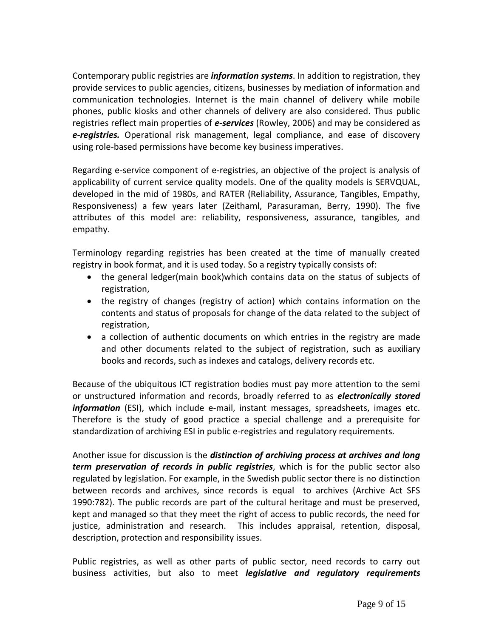Contemporary public registries are *information systems*. In addition to registration, they provide services to public agencies, citizens, businesses by mediation of information and communication technologies. Internet is the main channel of delivery while mobile phones, public kiosks and other channels of delivery are also considered. Thus public registries reflect main properties of *e-services* (Rowley, 2006) and may be considered as *e-registries.* Operational risk management, legal compliance, and ease of discovery using role-based permissions have become key business imperatives.

Regarding e-service component of e-registries, an objective of the project is analysis of applicability of current service quality models. One of the quality models is SERVQUAL, developed in the mid of 1980s, and RATER (Reliability, Assurance, Tangibles, Empathy, Responsiveness) a few years later (Zeithaml, Parasuraman, Berry, 1990). The five attributes of this model are: reliability, responsiveness, assurance, tangibles, and empathy.

Terminology regarding registries has been created at the time of manually created registry in book format, and it is used today. So a registry typically consists of:

- the general ledger(main book)which contains data on the status of subjects of registration,
- the registry of changes (registry of action) which contains information on the contents and status of proposals for change of the data related to the subject of registration,
- a collection of authentic documents on which entries in the registry are made and other documents related to the subject of registration, such as auxiliary books and records, such as indexes and catalogs, delivery records etc.

Because of the ubiquitous ICT registration bodies must pay more attention to the semi or unstructured information and records, broadly referred to as *electronically stored information* (ESI), which include e-mail, instant messages, spreadsheets, images etc. Therefore is the study of good practice a special challenge and a prerequisite for standardization of archiving ESI in public e-registries and regulatory requirements.

Another issue for discussion is the *distinction of archiving process at archives and long term preservation of records in public registries*, which is for the public sector also regulated by legislation. For example, in the Swedish public sector there is no distinction between records and archives, since records is equal to archives (Archive Act SFS 1990:782). The public records are part of the cultural heritage and must be preserved, kept and managed so that they meet the right of access to public records, the need for justice, administration and research. This includes appraisal, retention, disposal, description, protection and responsibility issues.

Public registries, as well as other parts of public sector, need records to carry out business activities, but also to meet *legislative and regulatory requirements*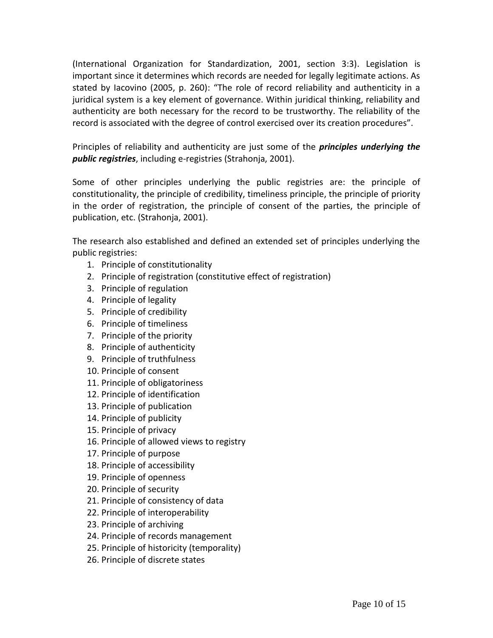(International Organization for Standardization, 2001, section 3:3). Legislation is important since it determines which records are needed for legally legitimate actions. As stated by Iacovino (2005, p. 260): "The role of record reliability and authenticity in a juridical system is a key element of governance. Within juridical thinking, reliability and authenticity are both necessary for the record to be trustworthy. The reliability of the record is associated with the degree of control exercised over its creation procedures".

Principles of reliability and authenticity are just some of the *principles underlying the public registries*, including e-registries (Strahonja, 2001).

Some of other principles underlying the public registries are: the principle of constitutionality, the principle of credibility, timeliness principle, the principle of priority in the order of registration, the principle of consent of the parties, the principle of publication, etc. (Strahonja, 2001).

The research also established and defined an extended set of principles underlying the public registries:

- 1. Principle of constitutionality
- 2. Principle of registration (constitutive effect of registration)
- 3. Principle of regulation
- 4. Principle of legality
- 5. Principle of credibility
- 6. Principle of timeliness
- 7. Principle of the priority
- 8. Principle of authenticity
- 9. Principle of truthfulness
- 10. Principle of consent
- 11. Principle of obligatoriness
- 12. Principle of identification
- 13. Principle of publication
- 14. Principle of publicity
- 15. Principle of privacy
- 16. Principle of allowed views to registry
- 17. Principle of purpose
- 18. Principle of accessibility
- 19. Principle of openness
- 20. Principle of security
- 21. Principle of consistency of data
- 22. Principle of interoperability
- 23. Principle of archiving
- 24. Principle of records management
- 25. Principle of historicity (temporality)
- 26. Principle of discrete states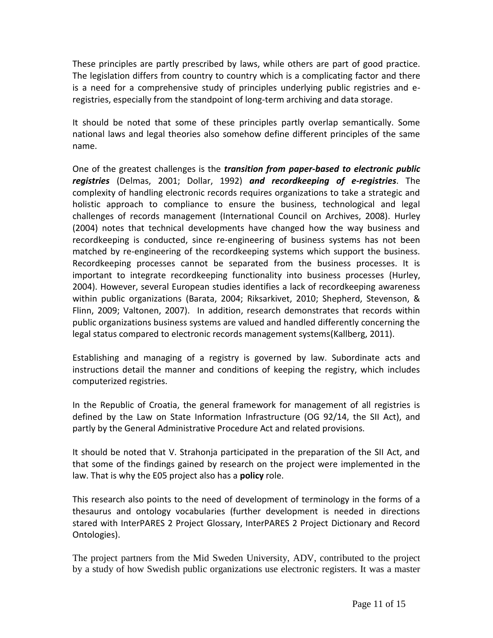These principles are partly prescribed by laws, while others are part of good practice. The legislation differs from country to country which is a complicating factor and there is a need for a comprehensive study of principles underlying public registries and eregistries, especially from the standpoint of long-term archiving and data storage.

It should be noted that some of these principles partly overlap semantically. Some national laws and legal theories also somehow define different principles of the same name.

One of the greatest challenges is the *transition from paper-based to electronic public registries* (Delmas, 2001; Dollar, 1992) *and recordkeeping of e-registries*. The complexity of handling electronic records requires organizations to take a strategic and holistic approach to compliance to ensure the business, technological and legal challenges of records management (International Council on Archives, 2008). Hurley (2004) notes that technical developments have changed how the way business and recordkeeping is conducted, since re-engineering of business systems has not been matched by re-engineering of the recordkeeping systems which support the business. Recordkeeping processes cannot be separated from the business processes. It is important to integrate recordkeeping functionality into business processes (Hurley, 2004). However, several European studies identifies a lack of recordkeeping awareness within public organizations (Barata, 2004; Riksarkivet, 2010; Shepherd, Stevenson, & Flinn, 2009; Valtonen, 2007). In addition, research demonstrates that records within public organizations business systems are valued and handled differently concerning the legal status compared to electronic records management systems(Kallberg, 2011).

Establishing and managing of a registry is governed by law. Subordinate acts and instructions detail the manner and conditions of keeping the registry, which includes computerized registries.

In the Republic of Croatia, the general framework for management of all registries is defined by the Law on State Information Infrastructure (OG 92/14, the SII Act), and partly by the General Administrative Procedure Act and related provisions.

It should be noted that V. Strahonja participated in the preparation of the SII Act, and that some of the findings gained by research on the project were implemented in the law. That is why the E05 project also has a **policy** role.

This research also points to the need of development of terminology in the forms of a thesaurus and ontology vocabularies (further development is needed in directions stared with InterPARES 2 Project Glossary, InterPARES 2 Project Dictionary and Record Ontologies).

The project partners from the Mid Sweden University, ADV, contributed to the project by a study of how Swedish public organizations use electronic registers. It was a master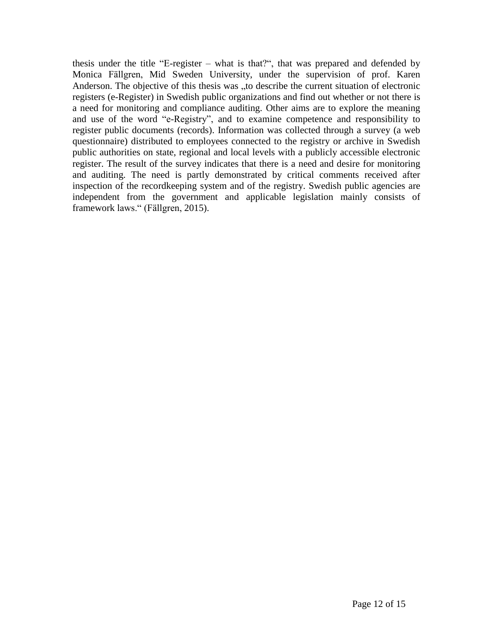thesis under the title "E-register – what is that?", that was prepared and defended by Monica Fällgren, Mid Sweden University, under the supervision of prof. Karen Anderson. The objective of this thesis was "to describe the current situation of electronic registers (e-Register) in Swedish public organizations and find out whether or not there is a need for monitoring and compliance auditing. Other aims are to explore the meaning and use of the word "e-Registry", and to examine competence and responsibility to register public documents (records). Information was collected through a survey (a web questionnaire) distributed to employees connected to the registry or archive in Swedish public authorities on state, regional and local levels with a publicly accessible electronic register. The result of the survey indicates that there is a need and desire for monitoring and auditing. The need is partly demonstrated by critical comments received after inspection of the recordkeeping system and of the registry. Swedish public agencies are independent from the government and applicable legislation mainly consists of framework laws." (Fällgren, 2015).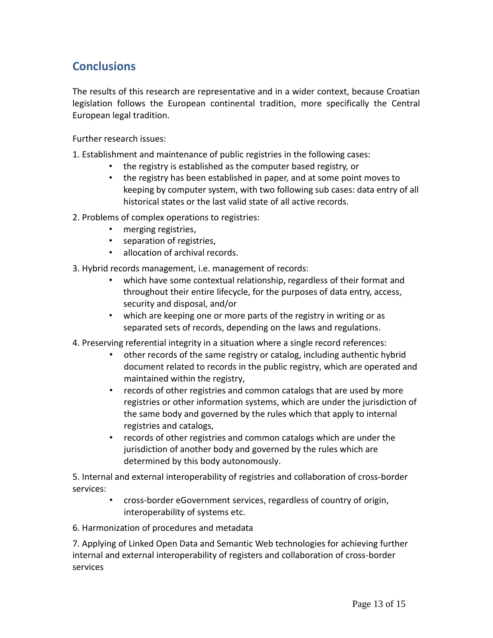## **Conclusions**

The results of this research are representative and in a wider context, because Croatian legislation follows the European continental tradition, more specifically the Central European legal tradition.

Further research issues:

1. Establishment and maintenance of public registries in the following cases:

- the registry is established as the computer based registry, or
- the registry has been established in paper, and at some point moves to keeping by computer system, with two following sub cases: data entry of all historical states or the last valid state of all active records.

2. Problems of complex operations to registries:

- merging registries,
- separation of registries,
- allocation of archival records.

3. Hybrid records management, i.e. management of records:

- which have some contextual relationship, regardless of their format and throughout their entire lifecycle, for the purposes of data entry, access, security and disposal, and/or
- which are keeping one or more parts of the registry in writing or as separated sets of records, depending on the laws and regulations.
- 4. Preserving referential integrity in a situation where a single record references:
	- other records of the same registry or catalog, including authentic hybrid document related to records in the public registry, which are operated and maintained within the registry,
	- records of other registries and common catalogs that are used by more registries or other information systems, which are under the jurisdiction of the same body and governed by the rules which that apply to internal registries and catalogs,
	- records of other registries and common catalogs which are under the jurisdiction of another body and governed by the rules which are determined by this body autonomously.

5. Internal and external interoperability of registries and collaboration of cross-border services:

> • cross-border eGovernment services, regardless of country of origin, interoperability of systems etc.

6. Harmonization of procedures and metadata

7. Applying of Linked Open Data and Semantic Web technologies for achieving further internal and external interoperability of registers and collaboration of cross-border services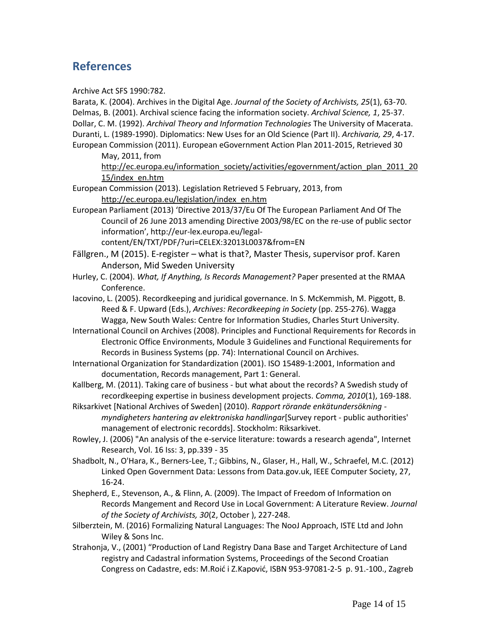#### **References**

Archive Act SFS 1990:782.

Barata, K. (2004). Archives in the Digital Age. *Journal of the Society of Archivists, 25*(1), 63-70. Delmas, B. (2001). Archival science facing the information society. *Archival Science, 1*, 25-37. Dollar, C. M. (1992). *Archival Theory and Information Technologies* The University of Macerata. Duranti, L. (1989-1990). Diplomatics: New Uses for an Old Science (Part II). *Archivaria, 29*, 4-17. European Commission (2011). European eGovernment Action Plan 2011-2015, Retrieved 30 May, 2011, from [http://ec.europa.eu/information\\_society/activities/egovernment/action\\_plan\\_2011\\_20](http://ec.europa.eu/information_society/activities/egovernment/action_plan_2011_2015/index_en.htm) [15/index\\_en.htm](http://ec.europa.eu/information_society/activities/egovernment/action_plan_2011_2015/index_en.htm) European Commission (2013). Legislation Retrieved 5 February, 2013, from [http://ec.europa.eu/legislation/index\\_en.htm](http://ec.europa.eu/legislation/index_en.htm) European Parliament (2013) 'Directive 2013/37/Eu Of The European Parliament And Of The Council of 26 June 2013 amending Directive 2003/98/EC on the re-use of public sector information', http://eur-lex.europa.eu/legalcontent/EN/TXT/PDF/?uri=CELEX:32013L0037&from=EN Fällgren., M (2015). E-register – what is that?, Master Thesis, supervisor prof. Karen Anderson, Mid Sweden University Hurley, C. (2004). *What, If Anything, Is Records Management?* Paper presented at the RMAA Conference. Iacovino, L. (2005). Recordkeeping and juridical governance. In S. McKemmish, M. Piggott, B. Reed & F. Upward (Eds.), *Archives: Recordkeeping in Society* (pp. 255-276). Wagga Wagga, New South Wales: Centre for Information Studies, Charles Sturt University. International Council on Archives (2008). Principles and Functional Requirements for Records in Electronic Office Environments, Module 3 Guidelines and Functional Requirements for Records in Business Systems (pp. 74): International Council on Archives. International Organization for Standardization (2001). ISO 15489-1:2001, Information and documentation, Records management, Part 1: General. Kallberg, M. (2011). Taking care of business - but what about the records? A Swedish study of recordkeeping expertise in business development projects. *Comma, 2010*(1), 169-188. Riksarkivet [National Archives of Sweden] (2010). *Rapport rörande enkätundersökning myndigheters hantering av elektroniska handlingar*[Survey report - public authorities' management of electronic recordds]. Stockholm: Riksarkivet. Rowley, J. (2006) "An analysis of the e-service literature: towards a research agenda", Internet Research, Vol. 16 Iss: 3, pp.339 - 35 Shadbolt, N., O'Hara, K., Berners-Lee, T.; Gibbins, N., Glaser, H., Hall, W., Schraefel, M.C. (2012) Linked Open Government Data: Lessons from Data.gov.uk, IEEE Computer Society, 27, 16-24. Shepherd, E., Stevenson, A., & Flinn, A. (2009). The Impact of Freedom of Information on Records Mangement and Record Use in Local Government: A Literature Review. *Journal of the Society of Archivists, 30*(2, October ), 227-248. Silberztein, M. (2016) Formalizing Natural Languages: The NooJ Approach, ISTE Ltd and John Wiley & Sons Inc. Strahonja, V., (2001) "Production of Land Registry Dana Base and Target Architecture of Land registry and Cadastral information Systems, Proceedings of the Second Croatian Congress on Cadastre, eds: M.Roić i Z.Kapović, ISBN 953-97081-2-5 p. 91.-100., Zagreb